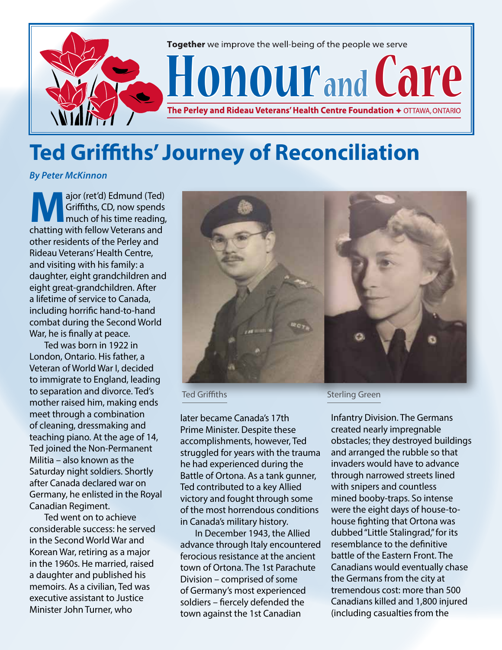

## **Ted Griffiths' Journey of Reconciliation**

*By Peter McKinnon*

**Major (ret'd) Edmund (Ted)**<br>Griffiths, CD, now spends<br>much of his time reading,<br>chatting with follow Veterans and Griffiths, CD, now spends much of his time reading, chatting with fellow Veterans and other residents of the Perley and Rideau Veterans' Health Centre, and visiting with his family: a daughter, eight grandchildren and eight great-grandchildren. After a lifetime of service to Canada, including horrific hand-to-hand combat during the Second World War, he is finally at peace.

Ted was born in 1922 in London, Ontario. His father, a Veteran of World War I, decided to immigrate to England, leading to separation and divorce. Ted's mother raised him, making ends meet through a combination of cleaning, dressmaking and teaching piano. At the age of 14, Ted joined the Non-Permanent Militia – also known as the Saturday night soldiers. Shortly after Canada declared war on Germany, he enlisted in the Royal Canadian Regiment.

Ted went on to achieve considerable success: he served in the Second World War and Korean War, retiring as a major in the 1960s. He married, raised a daughter and published his memoirs. As a civilian, Ted was executive assistant to Justice Minister John Turner, who



later became Canada's 17th Prime Minister. Despite these accomplishments, however, Ted struggled for years with the trauma he had experienced during the Battle of Ortona. As a tank gunner, Ted contributed to a key Allied victory and fought through some of the most horrendous conditions in Canada's military history.

In December 1943, the Allied advance through Italy encountered ferocious resistance at the ancient town of Ortona. The 1st Parachute Division – comprised of some of Germany's most experienced soldiers – fiercely defended the town against the 1st Canadian

Ted Griffiths **Sterling Green** 

Infantry Division. The Germans created nearly impregnable obstacles; they destroyed buildings and arranged the rubble so that invaders would have to advance through narrowed streets lined with snipers and countless mined booby-traps. So intense were the eight days of house-tohouse fighting that Ortona was dubbed "Little Stalingrad," for its resemblance to the definitive battle of the Eastern Front. The Canadians would eventually chase the Germans from the city at tremendous cost: more than 500 Canadians killed and 1,800 injured (including casualties from the